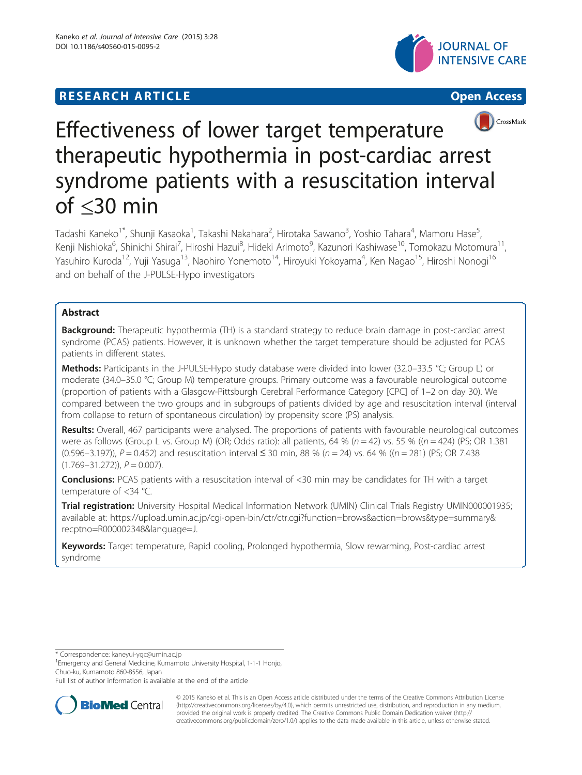# **RESEARCH ARTICLE CONSUMING A RESEARCH ARTICLE**





# Effectiveness of lower target temperature therapeutic hypothermia in post-cardiac arrest syndrome patients with a resuscitation interval of ≤30 min

Tadashi Kaneko<sup>1\*</sup>, Shunji Kasaoka<sup>1</sup>, Takashi Nakahara<sup>2</sup>, Hirotaka Sawano<sup>3</sup>, Yoshio Tahara<sup>4</sup>, Mamoru Hase<sup>5</sup> , Kenji Nishioka<sup>6</sup>, Shinichi Shirai<sup>7</sup>, Hiroshi Hazui<sup>8</sup>, Hideki Arimoto<sup>9</sup>, Kazunori Kashiwase<sup>10</sup>, Tomokazu Motomura<sup>11</sup>, Yasuhiro Kuroda<sup>12</sup>, Yuji Yasuga<sup>13</sup>, Naohiro Yonemoto<sup>14</sup>, Hiroyuki Yokoyama<sup>4</sup>, Ken Nagao<sup>15</sup>, Hiroshi Nonogi<sup>16</sup> and on behalf of the J-PULSE-Hypo investigators

# Abstract

Background: Therapeutic hypothermia (TH) is a standard strategy to reduce brain damage in post-cardiac arrest syndrome (PCAS) patients. However, it is unknown whether the target temperature should be adjusted for PCAS patients in different states.

Methods: Participants in the J-PULSE-Hypo study database were divided into lower (32.0–33.5 °C; Group L) or moderate (34.0–35.0 °C; Group M) temperature groups. Primary outcome was a favourable neurological outcome (proportion of patients with a Glasgow-Pittsburgh Cerebral Performance Category [CPC] of 1–2 on day 30). We compared between the two groups and in subgroups of patients divided by age and resuscitation interval (interval from collapse to return of spontaneous circulation) by propensity score (PS) analysis.

Results: Overall, 467 participants were analysed. The proportions of patients with favourable neurological outcomes were as follows (Group L vs. Group M) (OR; Odds ratio): all patients, 64 % ( $n = 42$ ) vs. 55 % (( $n = 424$ ) (PS; OR 1.381 (0.596–3.197)),  $P = 0.452$ ) and resuscitation interval  $\leq$  30 min, 88 % (n = 24) vs. 64 % ((n = 281) (PS; OR 7.438  $(1.769-31.272)$ ,  $P = 0.007$ ).

**Conclusions:** PCAS patients with a resuscitation interval of <30 min may be candidates for TH with a target temperature of <34 °C.

Trial registration: University Hospital Medical Information Network (UMIN) Clinical Trials Registry UMIN000001935; available at: [https://upload.umin.ac.jp/cgi-open-bin/ctr/ctr.cgi?function=brows&action=brows&type=summary&](https://upload.umin.ac.jp/cgi-open-bin/ctr/ctr.cgi?function=brows&action=brows&type=summary&recptno=R000002348&language=J) [recptno=R000002348&language=J.](https://upload.umin.ac.jp/cgi-open-bin/ctr/ctr.cgi?function=brows&action=brows&type=summary&recptno=R000002348&language=J)

Keywords: Target temperature, Rapid cooling, Prolonged hypothermia, Slow rewarming, Post-cardiac arrest syndrome

\* Correspondence: [kaneyui-ygc@umin.ac.jp](mailto:kaneyui-ygc@umin.ac.jp) <sup>1</sup>

<sup>1</sup> Emergency and General Medicine, Kumamoto University Hospital, 1-1-1 Honjo, Chuo-ku, Kumamoto 860-8556, Japan

Full list of author information is available at the end of the article



© 2015 Kaneko et al. This is an Open Access article distributed under the terms of the Creative Commons Attribution License [\(http://creativecommons.org/licenses/by/4.0\)](http://creativecommons.org/licenses/by/4.0), which permits unrestricted use, distribution, and reproduction in any medium, provided the original work is properly credited. The Creative Commons Public Domain Dedication waiver [\(http://](http://creativecommons.org/publicdomain/zero/1.0/) [creativecommons.org/publicdomain/zero/1.0/\)](http://creativecommons.org/publicdomain/zero/1.0/) applies to the data made available in this article, unless otherwise stated.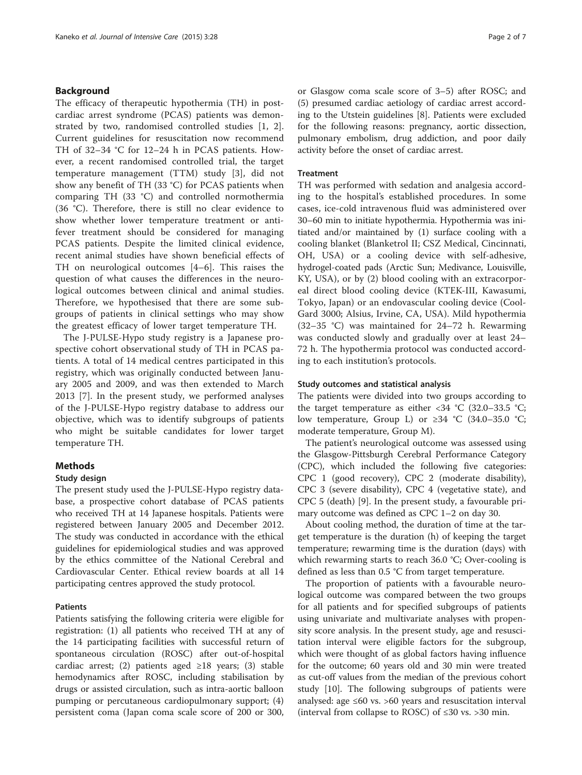# Background

The efficacy of therapeutic hypothermia (TH) in postcardiac arrest syndrome (PCAS) patients was demonstrated by two, randomised controlled studies [[1,](#page-5-0) [2](#page-6-0)]. Current guidelines for resuscitation now recommend TH of 32–34 °C for 12–24 h in PCAS patients. However, a recent randomised controlled trial, the target temperature management (TTM) study [[3\]](#page-6-0), did not show any benefit of TH (33 °C) for PCAS patients when comparing TH (33 °C) and controlled normothermia (36 °C). Therefore, there is still no clear evidence to show whether lower temperature treatment or antifever treatment should be considered for managing PCAS patients. Despite the limited clinical evidence, recent animal studies have shown beneficial effects of TH on neurological outcomes [\[4](#page-6-0)–[6](#page-6-0)]. This raises the question of what causes the differences in the neurological outcomes between clinical and animal studies. Therefore, we hypothesised that there are some subgroups of patients in clinical settings who may show the greatest efficacy of lower target temperature TH.

The J-PULSE-Hypo study registry is a Japanese prospective cohort observational study of TH in PCAS patients. A total of 14 medical centres participated in this registry, which was originally conducted between January 2005 and 2009, and was then extended to March 2013 [\[7](#page-6-0)]. In the present study, we performed analyses of the J-PULSE-Hypo registry database to address our objective, which was to identify subgroups of patients who might be suitable candidates for lower target temperature TH.

# Methods

# Study design

The present study used the J-PULSE-Hypo registry database, a prospective cohort database of PCAS patients who received TH at 14 Japanese hospitals. Patients were registered between January 2005 and December 2012. The study was conducted in accordance with the ethical guidelines for epidemiological studies and was approved by the ethics committee of the National Cerebral and Cardiovascular Center. Ethical review boards at all 14 participating centres approved the study protocol.

# Patients

Patients satisfying the following criteria were eligible for registration: (1) all patients who received TH at any of the 14 participating facilities with successful return of spontaneous circulation (ROSC) after out-of-hospital cardiac arrest; (2) patients aged  $\geq 18$  years; (3) stable hemodynamics after ROSC, including stabilisation by drugs or assisted circulation, such as intra-aortic balloon pumping or percutaneous cardiopulmonary support; (4) persistent coma (Japan coma scale score of 200 or 300,

or Glasgow coma scale score of 3–5) after ROSC; and (5) presumed cardiac aetiology of cardiac arrest according to the Utstein guidelines [[8\]](#page-6-0). Patients were excluded for the following reasons: pregnancy, aortic dissection, pulmonary embolism, drug addiction, and poor daily activity before the onset of cardiac arrest.

# **Treatment**

TH was performed with sedation and analgesia according to the hospital's established procedures. In some cases, ice-cold intravenous fluid was administered over 30–60 min to initiate hypothermia. Hypothermia was initiated and/or maintained by (1) surface cooling with a cooling blanket (Blanketrol II; CSZ Medical, Cincinnati, OH, USA) or a cooling device with self-adhesive, hydrogel-coated pads (Arctic Sun; Medivance, Louisville, KY, USA), or by (2) blood cooling with an extracorporeal direct blood cooling device (KTEK-III, Kawasumi, Tokyo, Japan) or an endovascular cooling device (Cool-Gard 3000; Alsius, Irvine, CA, USA). Mild hypothermia (32–35 °C) was maintained for 24–72 h. Rewarming was conducted slowly and gradually over at least 24– 72 h. The hypothermia protocol was conducted according to each institution's protocols.

#### Study outcomes and statistical analysis

The patients were divided into two groups according to the target temperature as either  $\langle 34 \degree C \rangle$  (32.0–33.5  $\degree C$ ; low temperature, Group L) or ≥34 °C (34.0–35.0 °C; moderate temperature, Group M).

The patient's neurological outcome was assessed using the Glasgow-Pittsburgh Cerebral Performance Category (CPC), which included the following five categories: CPC 1 (good recovery), CPC 2 (moderate disability), CPC 3 (severe disability), CPC 4 (vegetative state), and CPC 5 (death) [[9\]](#page-6-0). In the present study, a favourable primary outcome was defined as CPC 1–2 on day 30.

About cooling method, the duration of time at the target temperature is the duration (h) of keeping the target temperature; rewarming time is the duration (days) with which rewarming starts to reach 36.0 °C; Over-cooling is defined as less than 0.5 °C from target temperature.

The proportion of patients with a favourable neurological outcome was compared between the two groups for all patients and for specified subgroups of patients using univariate and multivariate analyses with propensity score analysis. In the present study, age and resuscitation interval were eligible factors for the subgroup, which were thought of as global factors having influence for the outcome; 60 years old and 30 min were treated as cut-off values from the median of the previous cohort study [\[10](#page-6-0)]. The following subgroups of patients were analysed: age ≤60 vs. >60 years and resuscitation interval (interval from collapse to ROSC) of  $\leq 30$  vs. > 30 min.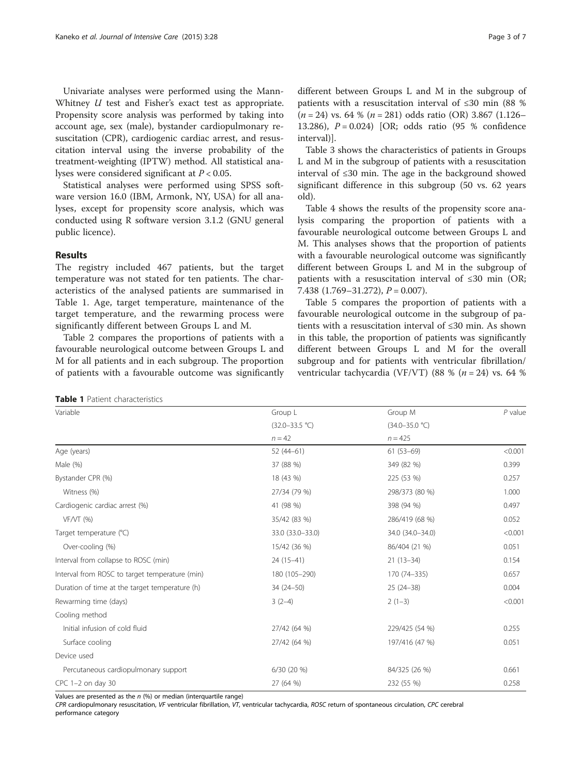Univariate analyses were performed using the Mann-Whitney *U* test and Fisher's exact test as appropriate. Propensity score analysis was performed by taking into account age, sex (male), bystander cardiopulmonary resuscitation (CPR), cardiogenic cardiac arrest, and resuscitation interval using the inverse probability of the treatment-weighting (IPTW) method. All statistical analyses were considered significant at  $P < 0.05$ .

Statistical analyses were performed using SPSS software version 16.0 (IBM, Armonk, NY, USA) for all analyses, except for propensity score analysis, which was conducted using R software version 3.1.2 (GNU general public licence).

#### Results

The registry included 467 patients, but the target temperature was not stated for ten patients. The characteristics of the analysed patients are summarised in Table 1. Age, target temperature, maintenance of the target temperature, and the rewarming process were significantly different between Groups L and M.

Table [2](#page-3-0) compares the proportions of patients with a favourable neurological outcome between Groups L and M for all patients and in each subgroup. The proportion of patients with a favourable outcome was significantly

```
different between Groups L and M in the subgroup of
patients with a resuscitation interval of ≤30 min (88 %
(n = 24) vs. 64 % (n = 281) odds ratio (OR) 3.867 (1.126–
13.286), P = 0.024 [OR; odds ratio (95 % confidence
interval)].
```
Table [3](#page-3-0) shows the characteristics of patients in Groups L and M in the subgroup of patients with a resuscitation interval of ≤30 min. The age in the background showed significant difference in this subgroup (50 vs. 62 years old).

Table [4](#page-4-0) shows the results of the propensity score analysis comparing the proportion of patients with a favourable neurological outcome between Groups L and M. This analyses shows that the proportion of patients with a favourable neurological outcome was significantly different between Groups L and M in the subgroup of patients with a resuscitation interval of ≤30 min (OR; 7.438  $(1.769 - 31.272)$ ,  $P = 0.007$ ).

Table [5](#page-4-0) compares the proportion of patients with a favourable neurological outcome in the subgroup of patients with a resuscitation interval of ≤30 min. As shown in this table, the proportion of patients was significantly different between Groups L and M for the overall subgroup and for patients with ventricular fibrillation/ ventricular tachycardia (VF/VT) (88 % ( $n = 24$ ) vs. 64 %

| <b>Table 1</b> Patient characteristics |
|----------------------------------------|
|----------------------------------------|

| Variable                                       | Group L            | Group M            | $P$ value |
|------------------------------------------------|--------------------|--------------------|-----------|
|                                                | $(32.0 - 33.5 °C)$ | $(34.0 - 35.0 °C)$ |           |
|                                                | $n = 42$           | $n = 425$          |           |
| Age (years)                                    | $52(44-61)$        | $61(53-69)$        | < 0.001   |
| Male (%)                                       | 37 (88 %)          | 349 (82 %)         | 0.399     |
| Bystander CPR (%)                              | 18 (43 %)          | 225 (53 %)         | 0.257     |
| Witness (%)                                    | 27/34 (79 %)       | 298/373 (80 %)     | 1.000     |
| Cardiogenic cardiac arrest (%)                 | 41 (98 %)          | 398 (94 %)         | 0.497     |
| $VF/VT$ (%)                                    | 35/42 (83 %)       | 286/419 (68 %)     | 0.052     |
| Target temperature (°C)                        | 33.0 (33.0-33.0)   | 34.0 (34.0-34.0)   | < 0.001   |
| Over-cooling (%)                               | 15/42 (36 %)       | 86/404 (21 %)      | 0.051     |
| Interval from collapse to ROSC (min)           | 24 (15-41)         | $21(13-34)$        | 0.154     |
| Interval from ROSC to target temperature (min) | 180 (105-290)      | 170 (74-335)       | 0.657     |
| Duration of time at the target temperature (h) | 34 (24-50)         | $25(24-38)$        | 0.004     |
| Rewarming time (days)                          | $3(2-4)$           | $2(1-3)$           | < 0.001   |
| Cooling method                                 |                    |                    |           |
| Initial infusion of cold fluid                 | 27/42 (64 %)       | 229/425 (54 %)     | 0.255     |
| Surface cooling                                | 27/42 (64 %)       | 197/416 (47 %)     | 0.051     |
| Device used                                    |                    |                    |           |
| Percutaneous cardiopulmonary support           | $6/30(20\%)$       | 84/325 (26 %)      | 0.661     |
| $CPC$ 1-2 on day 30                            | 27 (64 %)          | 232 (55 %)         | 0.258     |

Values are presented as the  $n$  (%) or median (interquartile range)

CPR cardiopulmonary resuscitation, VF ventricular fibrillation, VT, ventricular tachycardia, ROSC return of spontaneous circulation, CPC cerebral performance category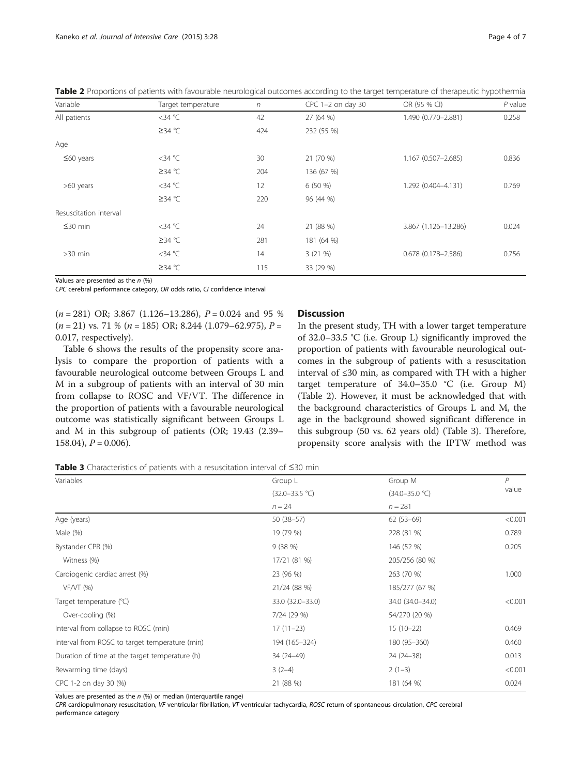| Variable               | Target temperature | $\sqrt{n}$ | $CPC$ 1-2 on day 30 | OR (95 % CI)           | $P$ value |
|------------------------|--------------------|------------|---------------------|------------------------|-----------|
| All patients           | $<$ 34 °C          | 42         | 27 (64 %)           | 1.490 (0.770-2.881)    | 0.258     |
|                        | ≥34 °C             | 424        | 232 (55 %)          |                        |           |
| Age                    |                    |            |                     |                        |           |
| $\leq 60$ years        | $<$ 34 °C          | 30         | 21 (70 %)           | 1.167 (0.507-2.685)    | 0.836     |
|                        | ≥34 °C             | 204        | 136 (67 %)          |                        |           |
| >60 years              | $<$ 34 °C          | 12         | 6(50%               | 1.292 (0.404-4.131)    | 0.769     |
|                        | ≥34 °C             | 220        | 96 (44 %)           |                        |           |
| Resuscitation interval |                    |            |                     |                        |           |
| $\leq$ 30 min          | $<$ 34 °C          | 24         | 21 (88 %)           | 3.867 (1.126-13.286)   | 0.024     |
|                        | ≥34 °C             | 281        | 181 (64 %)          |                        |           |
| $>30$ min              | $<$ 34 °C          | 14         | 3(21%)              | $0.678(0.178 - 2.586)$ | 0.756     |
|                        | ≥34 °C             | 115        | 33 (29 %)           |                        |           |

<span id="page-3-0"></span>Table 2 Proportions of patients with favourable neurological outcomes according to the target temperature of therapeutic hypothermia

Values are presented as the  $n$  (%)

CPC cerebral performance category, OR odds ratio, CI confidence interval

 $(n = 281)$  OR; 3.867 (1.126–13.286),  $P = 0.024$  and 95 %  $(n = 21)$  vs. 71 %  $(n = 185)$  OR; 8.244 (1.079–62.975),  $P =$ 0.017, respectively).

Table [6](#page-5-0) shows the results of the propensity score analysis to compare the proportion of patients with a favourable neurological outcome between Groups L and M in a subgroup of patients with an interval of 30 min from collapse to ROSC and VF/VT. The difference in the proportion of patients with a favourable neurological outcome was statistically significant between Groups L and M in this subgroup of patients (OR; 19.43 (2.39–  $158.04$ ,  $P = 0.006$ .

#### **Discussion**

In the present study, TH with a lower target temperature of 32.0–33.5 °C (i.e. Group L) significantly improved the proportion of patients with favourable neurological outcomes in the subgroup of patients with a resuscitation interval of ≤30 min, as compared with TH with a higher target temperature of  $34.0-35.0$  °C (i.e. Group M) (Table 2). However, it must be acknowledged that with the background characteristics of Groups L and M, the age in the background showed significant difference in this subgroup (50 vs. 62 years old) (Table 3). Therefore, propensity score analysis with the IPTW method was

Table 3 Characteristics of patients with a resuscitation interval of ≤30 min

| Variables                                      | Group L            | Group M            | P       |
|------------------------------------------------|--------------------|--------------------|---------|
|                                                | $(32.0 - 33.5 °C)$ | $(34.0 - 35.0 °C)$ | value   |
|                                                | $n = 24$           | $n = 281$          |         |
| Age (years)                                    | $50(38-57)$        | $62(53-69)$        | < 0.001 |
| Male (%)                                       | 19 (79 %)          | 228 (81 %)         | 0.789   |
| Bystander CPR (%)                              | 9(38%)             | 146 (52 %)         | 0.205   |
| Witness (%)                                    | 17/21 (81 %)       | 205/256 (80 %)     |         |
| Cardiogenic cardiac arrest (%)                 | 23 (96 %)          | 263 (70 %)         | 1.000   |
| $VF/VT$ (%)                                    | 21/24 (88 %)       | 185/277 (67 %)     |         |
| Target temperature (°C)                        | 33.0 (32.0-33.0)   | 34.0 (34.0-34.0)   | < 0.001 |
| Over-cooling (%)                               | 7/24 (29 %)        | 54/270 (20 %)      |         |
| Interval from collapse to ROSC (min)           | $17(11-23)$        | $15(10-22)$        | 0.469   |
| Interval from ROSC to target temperature (min) | 194 (165-324)      | 180 (95-360)       | 0.460   |
| Duration of time at the target temperature (h) | 34 (24-49)         | 24 (24 - 38)       | 0.013   |
| Rewarming time (days)                          | $3(2-4)$           | $2(1-3)$           | < 0.001 |
| CPC 1-2 on day 30 (%)                          | 21 (88 %)          | 181 (64 %)         | 0.024   |

Values are presented as the  $n$  (%) or median (interquartile range)

CPR cardiopulmonary resuscitation, VF ventricular fibrillation, VT ventricular tachycardia, ROSC return of spontaneous circulation, CPC cerebral performance category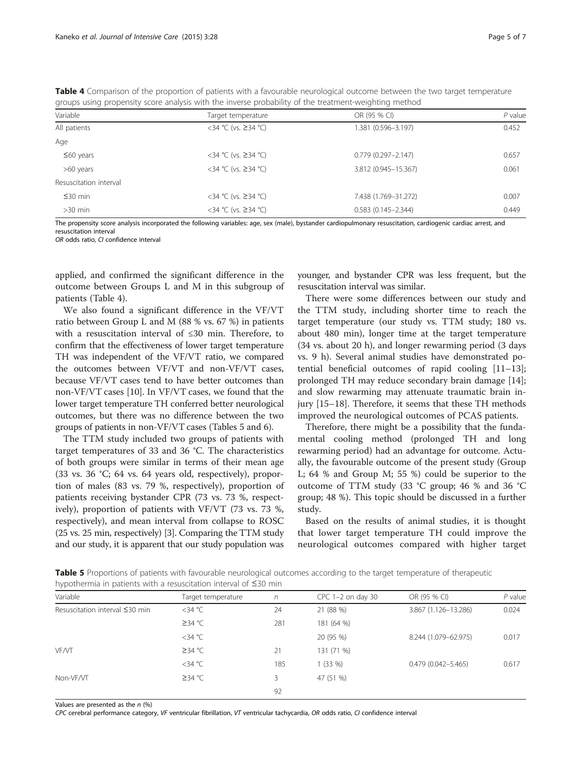<span id="page-4-0"></span>

|          | <b>Table 4</b> Comparison of the proportion of patients with a favourable neurological outcome between the two target temperature |              |        |
|----------|-----------------------------------------------------------------------------------------------------------------------------------|--------------|--------|
|          | groups using propensity score analysis with the inverse probability of the treatment-weighting method                             |              |        |
| Variable | Target temperature                                                                                                                | OR (95 % CI) | P valı |

| Variable               | Target temperature  | OR (95 % CI)              | P value |
|------------------------|---------------------|---------------------------|---------|
| All patients           | <34 °C (vs. ≥34 °C) | 1.381 (0.596-3.197)       | 0.452   |
| Age                    |                     |                           |         |
| $\leq 60$ years        | <34 °C (vs. ≥34 °C) | $0.779$ $(0.297 - 2.147)$ | 0.657   |
| >60 years              | <34 °C (vs. ≥34 °C) | 3.812 (0.945-15.367)      | 0.061   |
| Resuscitation interval |                     |                           |         |
| $\leq$ 30 min          | <34 °C (vs. ≥34 °C) | 7.438 (1.769-31.272)      | 0.007   |
| $>30$ min              | <34 °C (vs. ≥34 °C) | $0.583(0.145 - 2.344)$    | 0.449   |
|                        |                     |                           |         |

The propensity score analysis incorporated the following variables: age, sex (male), bystander cardiopulmonary resuscitation, cardiogenic cardiac arrest, and resuscitation interval

OR odds ratio, CI confidence interval

applied, and confirmed the significant difference in the outcome between Groups L and M in this subgroup of patients (Table 4).

We also found a significant difference in the VF/VT ratio between Group L and M (88 % vs. 67 %) in patients with a resuscitation interval of ≤30 min. Therefore, to confirm that the effectiveness of lower target temperature TH was independent of the VF/VT ratio, we compared the outcomes between VF/VT and non-VF/VT cases, because VF/VT cases tend to have better outcomes than non-VF/VT cases [[10](#page-6-0)]. In VF/VT cases, we found that the lower target temperature TH conferred better neurological outcomes, but there was no difference between the two groups of patients in non-VF/VT cases (Tables 5 and [6\)](#page-5-0).

The TTM study included two groups of patients with target temperatures of 33 and 36 °C. The characteristics of both groups were similar in terms of their mean age (33 vs. 36 °C; 64 vs. 64 years old, respectively), proportion of males (83 vs. 79 %, respectively), proportion of patients receiving bystander CPR (73 vs. 73 %, respectively), proportion of patients with VF/VT (73 vs. 73 %, respectively), and mean interval from collapse to ROSC (25 vs. 25 min, respectively) [\[3\]](#page-6-0). Comparing the TTM study and our study, it is apparent that our study population was younger, and bystander CPR was less frequent, but the resuscitation interval was similar.

There were some differences between our study and the TTM study, including shorter time to reach the target temperature (our study vs. TTM study; 180 vs. about 480 min), longer time at the target temperature (34 vs. about 20 h), and longer rewarming period (3 days vs. 9 h). Several animal studies have demonstrated potential beneficial outcomes of rapid cooling [[11](#page-6-0)–[13](#page-6-0)]; prolonged TH may reduce secondary brain damage [\[14](#page-6-0)]; and slow rewarming may attenuate traumatic brain injury [[15](#page-6-0)–[18](#page-6-0)]. Therefore, it seems that these TH methods improved the neurological outcomes of PCAS patients.

Therefore, there might be a possibility that the fundamental cooling method (prolonged TH and long rewarming period) had an advantage for outcome. Actually, the favourable outcome of the present study (Group L; 64 % and Group M; 55 %) could be superior to the outcome of TTM study (33 °C group; 46 % and 36 °C group; 48 %). This topic should be discussed in a further study.

Based on the results of animal studies, it is thought that lower target temperature TH could improve the neurological outcomes compared with higher target

Table 5 Proportions of patients with favourable neurological outcomes according to the target temperature of therapeutic hypothermia in patients with a resuscitation interval of ≤30 min

| $\sim$ $\sim$                  |                    |     |                     |                        |           |
|--------------------------------|--------------------|-----|---------------------|------------------------|-----------|
| Variable                       | Target temperature | n   | $CPC$ 1-2 on day 30 | OR (95 % CI)           | $P$ value |
| Resuscitation interval ≤30 min | $<$ 34 °C          | 24  | 21 (88 %)           | 3.867 (1.126-13.286)   | 0.024     |
|                                | ≥34 °C             | 281 | 181 (64 %)          |                        |           |
|                                | $<$ 34 °C          |     | 20 (95 %)           | 8.244 (1.079-62.975)   | 0.017     |
| <b>VF/VT</b>                   | ≥34 °C             | 21  | 131 (71 %)          |                        |           |
|                                | $<$ 34 °C          | 185 | 1(33%)              | $0.479(0.042 - 5.465)$ | 0.617     |
| Non-VF/VT                      | ≥34 °C             | 3   | 47 (51 %)           |                        |           |
|                                |                    | 92  |                     |                        |           |
|                                |                    |     |                     |                        |           |

Values are presented as the  $n$  (%)

CPC cerebral performance category, VF ventricular fibrillation, VT ventricular tachycardia, OR odds ratio, CI confidence interval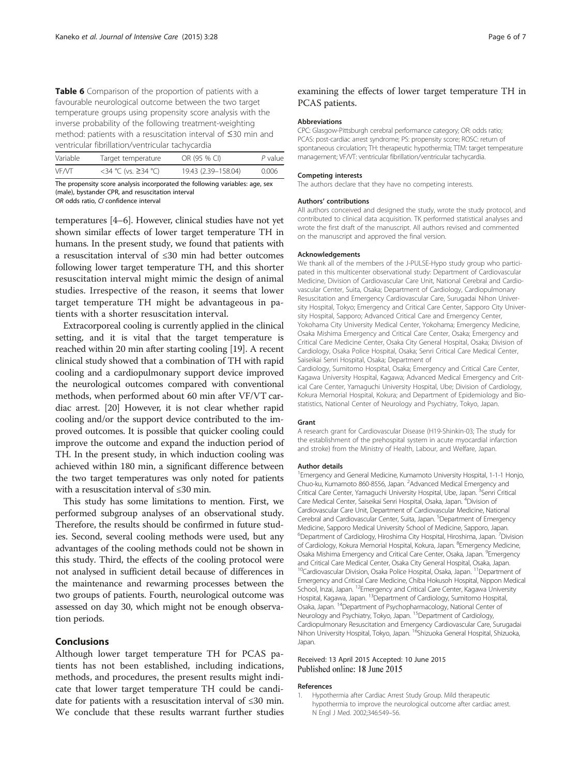<span id="page-5-0"></span>Table 6 Comparison of the proportion of patients with a favourable neurological outcome between the two target temperature groups using propensity score analysis with the inverse probability of the following treatment-weighting method: patients with a resuscitation interval of ≤30 min and ventricular fibrillation/ventricular tachycardia

| Variable | Target temperature  | OR (95 % CI)        | P value |
|----------|---------------------|---------------------|---------|
| VF/VT    | <34 °C (vs. ≥34 °C) | 19.43 (2.39-158.04) | 0.006   |

The propensity score analysis incorporated the following variables: age, sex (male), bystander CPR, and resuscitation interval OR odds ratio, CI confidence interval

temperatures [\[4](#page-6-0)–[6](#page-6-0)]. However, clinical studies have not yet shown similar effects of lower target temperature TH in humans. In the present study, we found that patients with a resuscitation interval of ≤30 min had better outcomes following lower target temperature TH, and this shorter resuscitation interval might mimic the design of animal studies. Irrespective of the reason, it seems that lower target temperature TH might be advantageous in patients with a shorter resuscitation interval.

Extracorporeal cooling is currently applied in the clinical setting, and it is vital that the target temperature is reached within 20 min after starting cooling [\[19\]](#page-6-0). A recent clinical study showed that a combination of TH with rapid cooling and a cardiopulmonary support device improved the neurological outcomes compared with conventional methods, when performed about 60 min after VF/VT cardiac arrest. [\[20\]](#page-6-0) However, it is not clear whether rapid cooling and/or the support device contributed to the improved outcomes. It is possible that quicker cooling could improve the outcome and expand the induction period of TH. In the present study, in which induction cooling was achieved within 180 min, a significant difference between the two target temperatures was only noted for patients with a resuscitation interval of ≤30 min.

This study has some limitations to mention. First, we performed subgroup analyses of an observational study. Therefore, the results should be confirmed in future studies. Second, several cooling methods were used, but any advantages of the cooling methods could not be shown in this study. Third, the effects of the cooling protocol were not analysed in sufficient detail because of differences in the maintenance and rewarming processes between the two groups of patients. Fourth, neurological outcome was assessed on day 30, which might not be enough observation periods.

# Conclusions

Although lower target temperature TH for PCAS patients has not been established, including indications, methods, and procedures, the present results might indicate that lower target temperature TH could be candidate for patients with a resuscitation interval of ≤30 min. We conclude that these results warrant further studies

# examining the effects of lower target temperature TH in PCAS patients.

#### Abbreviations

CPC: Glasgow-Pittsburgh cerebral performance category; OR: odds ratio; PCAS: post-cardiac arrest syndrome; PS: propensity score; ROSC: return of spontaneous circulation; TH: therapeutic hypothermia; TTM: target temperature management; VF/VT: ventricular fibrillation/ventricular tachycardia.

#### Competing interests

The authors declare that they have no competing interests.

#### Authors' contributions

All authors conceived and designed the study, wrote the study protocol, and contributed to clinical data acquisition. TK performed statistical analyses and wrote the first draft of the manuscript. All authors revised and commented on the manuscript and approved the final version.

#### Acknowledgements

We thank all of the members of the J-PULSE-Hypo study group who participated in this multicenter observational study: Department of Cardiovascular Medicine, Division of Cardiovascular Care Unit, National Cerebral and Cardiovascular Center, Suita, Osaka; Department of Cardiology, Cardiopulmonary Resuscitation and Emergency Cardiovascular Care, Surugadai Nihon University Hospital, Tokyo; Emergency and Critical Care Center, Sapporo City University Hospital, Sapporo; Advanced Critical Care and Emergency Center, Yokohama City University Medical Center, Yokohama; Emergency Medicine, Osaka Mishima Emergency and Critical Care Center, Osaka; Emergency and Critical Care Medicine Center, Osaka City General Hospital, Osaka; Division of Cardiology, Osaka Police Hospital, Osaka; Senri Critical Care Medical Center, Saiseikai Senri Hospital, Osaka; Department of

Cardiology, Sumitomo Hospital, Osaka; Emergency and Critical Care Center, Kagawa University Hospital, Kagawa; Advanced Medical Emergency and Critical Care Center, Yamaguchi University Hospital, Ube; Division of Cardiology, Kokura Memorial Hospital, Kokura; and Department of Epidemiology and Biostatistics, National Center of Neurology and Psychiatry, Tokyo, Japan.

#### Grant

A research grant for Cardiovascular Disease (H19-Shinkin-03; The study for the establishment of the prehospital system in acute myocardial infarction and stroke) from the Ministry of Health, Labour, and Welfare, Japan.

#### Author details

<sup>1</sup> Emergency and General Medicine, Kumamoto University Hospital, 1-1-1 Honjo, Chuo-ku, Kumamoto 860-8556, Japan. <sup>2</sup> Advanced Medical Emergency and Critical Care Center, Yamaguchi University Hospital, Ube, Japan. <sup>3</sup>Senri Critical Care Medical Center, Saiseikai Senri Hospital, Osaka, Japan. <sup>4</sup>Division of Cardiovascular Care Unit, Department of Cardiovascular Medicine, National Cerebral and Cardiovascular Center, Suita, Japan. <sup>5</sup>Department of Emergency Medicine, Sapporo Medical University School of Medicine, Sapporo, Japan. <sup>6</sup>Department of Cardiology, Hiroshima City Hospital, Hiroshima, Japan. <sup>7</sup>Division of Cardiology, Kokura Memorial Hospital, Kokura, Japan. <sup>8</sup>Emergency Medicine, Osaka Mishima Emergency and Critical Care Center, Osaka, Japan. <sup>9</sup>Emergency and Critical Care Medical Center, Osaka City General Hospital, Osaka, Japan. <sup>10</sup>Cardiovascular Division, Osaka Police Hospital, Osaka, Japan. <sup>11</sup>Department of Emergency and Critical Care Medicine, Chiba Hokusoh Hospital, Nippon Medical School, Inzai, Japan. <sup>12</sup>Emergency and Critical Care Center, Kagawa University Hospital, Kagawa, Japan. 13Department of Cardiology, Sumitomo Hospital, Osaka, Japan. 14Department of Psychopharmacology, National Center of Neurology and Psychiatry, Tokyo, Japan.<sup>15</sup>Department of Cardiology, Cardiopulmonary Resuscitation and Emergency Cardiovascular Care, Surugadai<br>Nihon University Hospital, Tokyo, Japan. <sup>16</sup>Shizuoka General Hospital, Shizuoka, Japan.

#### Received: 13 April 2015 Accepted: 10 June 2015 Published online: 18 June 2015

#### References

1. Hypothermia after Cardiac Arrest Study Group. Mild therapeutic hypothermia to improve the neurological outcome after cardiac arrest. N Engl J Med. 2002;346:549–56.